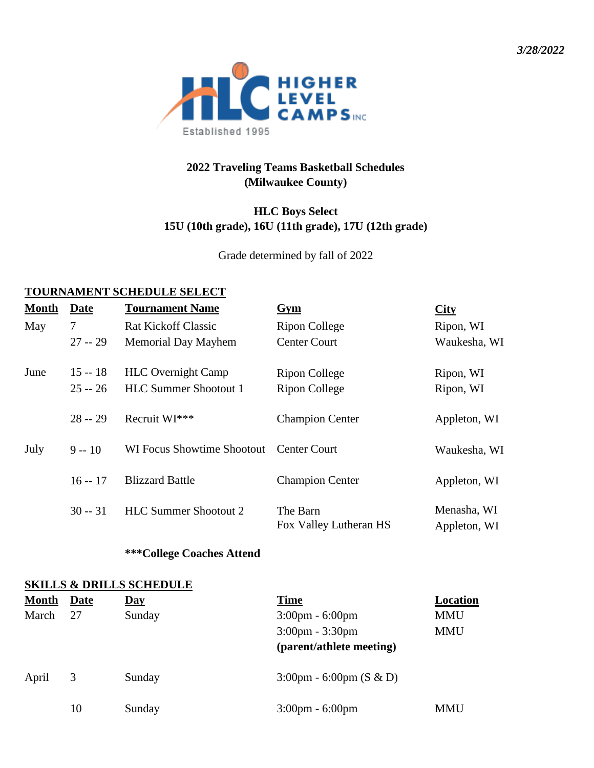*3/28/2022*



## **2022 Traveling Teams Basketball Schedules (Milwaukee County)**

## **HLC Boys Select 15U (10th grade), 16U (11th grade), 17U (12th grade)**

Grade determined by fall of 2022

#### **TOURNAMENT SCHEDULE SELECT**

| <b>Month</b> | Date      | <b>Tournament Name</b>       | Gym                                | City                        |
|--------------|-----------|------------------------------|------------------------------------|-----------------------------|
| May          | 7         | <b>Rat Kickoff Classic</b>   | Ripon College                      | Ripon, WI                   |
|              | $27 - 29$ | <b>Memorial Day Mayhem</b>   | <b>Center Court</b>                | Waukesha, WI                |
| June         | $15 - 18$ | <b>HLC</b> Overnight Camp    | Ripon College                      | Ripon, WI                   |
|              | $25 - 26$ | <b>HLC Summer Shootout 1</b> | Ripon College                      | Ripon, WI                   |
|              | $28 - 29$ | Recruit WI***                | <b>Champion Center</b>             | Appleton, WI                |
| July         | $9 - 10$  | WI Focus Showtime Shootout   | Center Court                       | Waukesha, WI                |
|              | $16 - 17$ | <b>Blizzard Battle</b>       | <b>Champion Center</b>             | Appleton, WI                |
|              | $30 - 31$ | <b>HLC Summer Shootout 2</b> | The Barn<br>Fox Valley Lutheran HS | Menasha, WI<br>Appleton, WI |

### **\*\*\*College Coaches Attend**

#### **SKILLS & DRILLS SCHEDULE**

| <b>Month</b> | Date | <u>Day</u> | <b>Time</b>                               | Location   |
|--------------|------|------------|-------------------------------------------|------------|
| March        | 27   | Sunday     | $3:00 \text{pm} - 6:00 \text{pm}$         | <b>MMU</b> |
|              |      |            | $3:00$ pm - $3:30$ pm                     | <b>MMU</b> |
|              |      |            | (parent/athlete meeting)                  |            |
| April        | 3    | Sunday     | $3:00 \text{pm} - 6:00 \text{pm}$ (S & D) |            |
|              | 10   | Sunday     | $3:00 \text{pm} - 6:00 \text{pm}$         | <b>MMU</b> |